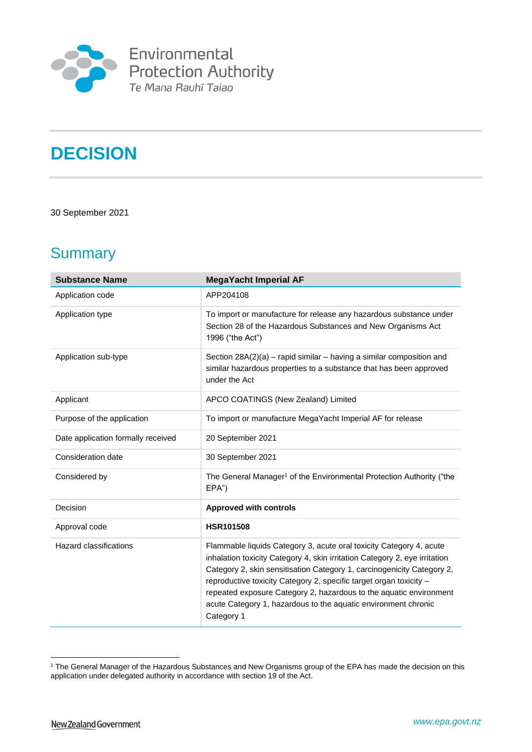

# **DECISION**

### 30 September 2021

# **Summary**

| <b>Substance Name</b>              | <b>MegaYacht Imperial AF</b>                                                                                                                                                                                                                                                                                                                                                                                                                            |
|------------------------------------|---------------------------------------------------------------------------------------------------------------------------------------------------------------------------------------------------------------------------------------------------------------------------------------------------------------------------------------------------------------------------------------------------------------------------------------------------------|
| Application code                   | APP204108                                                                                                                                                                                                                                                                                                                                                                                                                                               |
| Application type                   | To import or manufacture for release any hazardous substance under<br>Section 28 of the Hazardous Substances and New Organisms Act<br>1996 ("the Act")                                                                                                                                                                                                                                                                                                  |
| Application sub-type               | Section 28A(2)(a) - rapid similar - having a similar composition and<br>similar hazardous properties to a substance that has been approved<br>under the Act                                                                                                                                                                                                                                                                                             |
| Applicant                          | APCO COATINGS (New Zealand) Limited                                                                                                                                                                                                                                                                                                                                                                                                                     |
| Purpose of the application         | To import or manufacture MegaYacht Imperial AF for release                                                                                                                                                                                                                                                                                                                                                                                              |
| Date application formally received | 20 September 2021                                                                                                                                                                                                                                                                                                                                                                                                                                       |
| Consideration date                 | 30 September 2021                                                                                                                                                                                                                                                                                                                                                                                                                                       |
| Considered by                      | The General Manager <sup>1</sup> of the Environmental Protection Authority ("the<br>EPA")                                                                                                                                                                                                                                                                                                                                                               |
| Decision                           | <b>Approved with controls</b>                                                                                                                                                                                                                                                                                                                                                                                                                           |
| Approval code                      | <b>HSR101508</b>                                                                                                                                                                                                                                                                                                                                                                                                                                        |
| Hazard classifications             | Flammable liquids Category 3, acute oral toxicity Category 4, acute<br>inhalation toxicity Category 4, skin irritation Category 2, eye irritation<br>Category 2, skin sensitisation Category 1, carcinogenicity Category 2,<br>reproductive toxicity Category 2, specific target organ toxicity -<br>repeated exposure Category 2, hazardous to the aquatic environment<br>acute Category 1, hazardous to the aquatic environment chronic<br>Category 1 |

<sup>&</sup>lt;sup>1</sup> The General Manager of the Hazardous Substances and New Organisms group of the EPA has made the decision on this application under delegated authority in accordance with section 19 of the Act.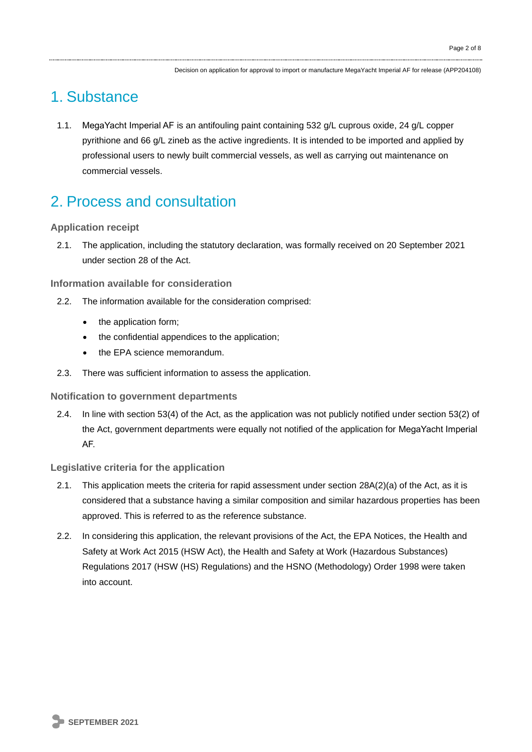Decision on application for approval to import or manufacture MegaYacht Imperial AF for release (APP204108)

### 1. Substance

1.1. MegaYacht Imperial AF is an antifouling paint containing 532 g/L cuprous oxide, 24 g/L copper pyrithione and 66 g/L zineb as the active ingredients. It is intended to be imported and applied by professional users to newly built commercial vessels, as well as carrying out maintenance on commercial vessels.

### 2. Process and consultation

### **Application receipt**

2.1. The application, including the statutory declaration, was formally received on 20 September 2021 under section 28 of the Act.

### **Information available for consideration**

- 2.2. The information available for the consideration comprised:
	- the application form;
	- the confidential appendices to the application;
	- the EPA science memorandum.
- 2.3. There was sufficient information to assess the application.

### **Notification to government departments**

2.4. In line with section 53(4) of the Act, as the application was not publicly notified under section 53(2) of the Act, government departments were equally not notified of the application for MegaYacht Imperial AF.

### **Legislative criteria for the application**

- 2.1. This application meets the criteria for rapid assessment under section 28A(2)(a) of the Act, as it is considered that a substance having a similar composition and similar hazardous properties has been approved. This is referred to as the reference substance.
- 2.2. In considering this application, the relevant provisions of the Act, the EPA Notices, the Health and Safety at Work Act 2015 (HSW Act), the Health and Safety at Work (Hazardous Substances) Regulations 2017 (HSW (HS) Regulations) and the HSNO (Methodology) Order 1998 were taken into account.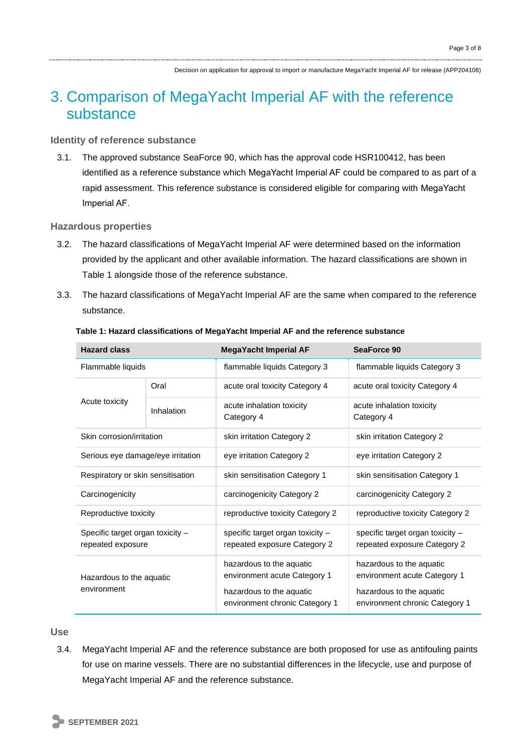### 3. Comparison of MegaYacht Imperial AF with the reference substance

### **Identity of reference substance**

3.1. The approved substance SeaForce 90, which has the approval code HSR100412, has been identified as a reference substance which MegaYacht Imperial AF could be compared to as part of a rapid assessment. This reference substance is considered eligible for comparing with MegaYacht Imperial AF.

### **Hazardous properties**

- 3.2. The hazard classifications of MegaYacht Imperial AF were determined based on the information provided by the applicant and other available information. The hazard classifications are shown in Table 1 alongside those of the reference substance.
- 3.3. The hazard classifications of MegaYacht Imperial AF are the same when compared to the reference substance.

| <b>Hazard class</b>                                   |            | <b>MegaYacht Imperial AF</b>                                                                                           | SeaForce 90                                                                                                            |
|-------------------------------------------------------|------------|------------------------------------------------------------------------------------------------------------------------|------------------------------------------------------------------------------------------------------------------------|
| Flammable liquids                                     |            | flammable liquids Category 3                                                                                           | flammable liquids Category 3                                                                                           |
| Acute toxicity                                        | Oral       | acute oral toxicity Category 4                                                                                         | acute oral toxicity Category 4                                                                                         |
|                                                       | Inhalation | acute inhalation toxicity<br>Category 4                                                                                | acute inhalation toxicity<br>Category 4                                                                                |
| Skin corrosion/irritation                             |            | skin irritation Category 2                                                                                             | skin irritation Category 2                                                                                             |
| Serious eye damage/eye irritation                     |            | eye irritation Category 2                                                                                              | eye irritation Category 2                                                                                              |
| Respiratory or skin sensitisation                     |            | skin sensitisation Category 1                                                                                          | skin sensitisation Category 1                                                                                          |
| Carcinogenicity                                       |            | carcinogenicity Category 2                                                                                             | carcinogenicity Category 2                                                                                             |
| Reproductive toxicity                                 |            | reproductive toxicity Category 2                                                                                       | reproductive toxicity Category 2                                                                                       |
| Specific target organ toxicity -<br>repeated exposure |            | specific target organ toxicity $-$<br>repeated exposure Category 2                                                     | specific target organ toxicity -<br>repeated exposure Category 2                                                       |
| Hazardous to the aquatic<br>environment               |            | hazardous to the aquatic<br>environment acute Category 1<br>hazardous to the aquatic<br>environment chronic Category 1 | hazardous to the aquatic<br>environment acute Category 1<br>hazardous to the aquatic<br>environment chronic Category 1 |

#### **Table 1: Hazard classifications of MegaYacht Imperial AF and the reference substance**

### **Use**

3.4. MegaYacht Imperial AF and the reference substance are both proposed for use as antifouling paints for use on marine vessels. There are no substantial differences in the lifecycle, use and purpose of MegaYacht Imperial AF and the reference substance.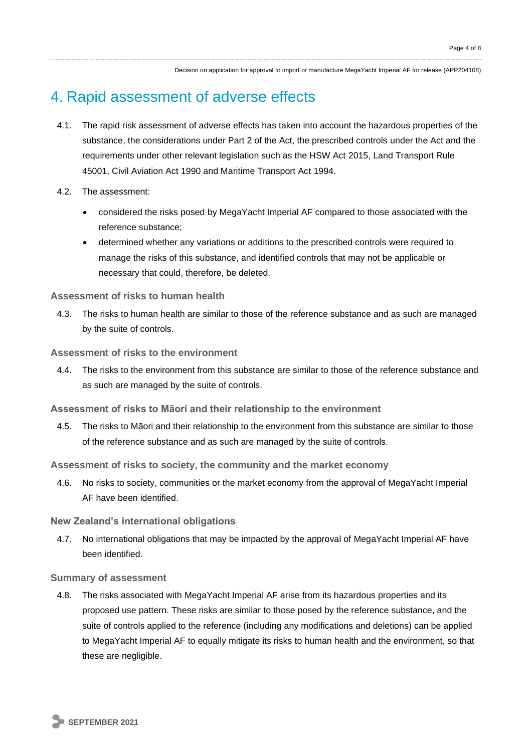Decision on application for approval to import or manufacture MegaYacht Imperial AF for release (APP204108)

### 4. Rapid assessment of adverse effects

- 4.1. The rapid risk assessment of adverse effects has taken into account the hazardous properties of the substance, the considerations under Part 2 of the Act, the prescribed controls under the Act and the requirements under other relevant legislation such as the HSW Act 2015, Land Transport Rule 45001, Civil Aviation Act 1990 and Maritime Transport Act 1994.
- 4.2. The assessment:
	- considered the risks posed by MegaYacht Imperial AF compared to those associated with the reference substance;
	- determined whether any variations or additions to the prescribed controls were required to manage the risks of this substance, and identified controls that may not be applicable or necessary that could, therefore, be deleted.

### **Assessment of risks to human health**

4.3. The risks to human health are similar to those of the reference substance and as such are managed by the suite of controls.

### **Assessment of risks to the environment**

4.4. The risks to the environment from this substance are similar to those of the reference substance and as such are managed by the suite of controls.

#### **Assessment of risks to Māori and their relationship to the environment**

4.5. The risks to Māori and their relationship to the environment from this substance are similar to those of the reference substance and as such are managed by the suite of controls.

### **Assessment of risks to society, the community and the market economy**

4.6. No risks to society, communities or the market economy from the approval of MegaYacht Imperial AF have been identified.

#### **New Zealand's international obligations**

4.7. No international obligations that may be impacted by the approval of MegaYacht Imperial AF have been identified.

#### **Summary of assessment**

4.8. The risks associated with MegaYacht Imperial AF arise from its hazardous properties and its proposed use pattern. These risks are similar to those posed by the reference substance, and the suite of controls applied to the reference (including any modifications and deletions) can be applied to MegaYacht Imperial AF to equally mitigate its risks to human health and the environment, so that these are negligible.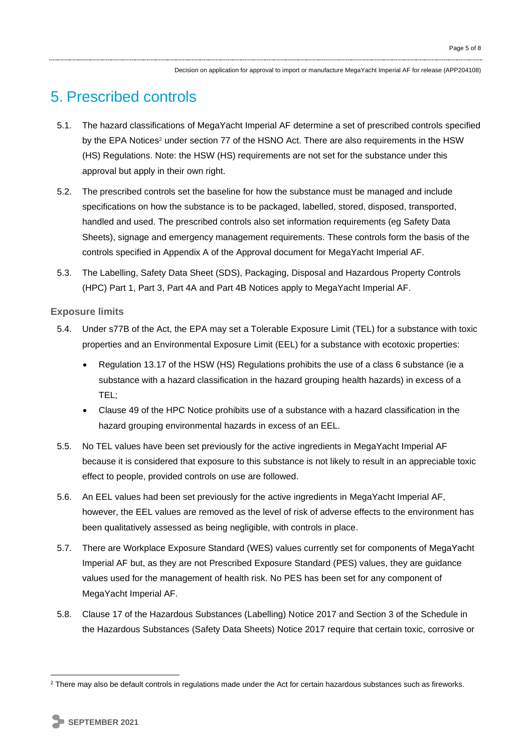Decision on application for approval to import or manufacture MegaYacht Imperial AF for release (APP204108)

## 5. Prescribed controls

- 5.1. The hazard classifications of MegaYacht Imperial AF determine a set of prescribed controls specified by the EPA Notices<sup>2</sup> under section 77 of the HSNO Act. There are also requirements in the HSW (HS) Regulations. Note: the HSW (HS) requirements are not set for the substance under this approval but apply in their own right.
- 5.2. The prescribed controls set the baseline for how the substance must be managed and include specifications on how the substance is to be packaged, labelled, stored, disposed, transported, handled and used. The prescribed controls also set information requirements (eg Safety Data Sheets), signage and emergency management requirements. These controls form the basis of the controls specified in Appendix A of the Approval document for MegaYacht Imperial AF.
- 5.3. The Labelling, Safety Data Sheet (SDS), Packaging, Disposal and Hazardous Property Controls (HPC) Part 1, Part 3, Part 4A and Part 4B Notices apply to MegaYacht Imperial AF.

### **Exposure limits**

- 5.4. Under s77B of the Act, the EPA may set a Tolerable Exposure Limit (TEL) for a substance with toxic properties and an Environmental Exposure Limit (EEL) for a substance with ecotoxic properties:
	- Regulation 13.17 of the HSW (HS) Regulations prohibits the use of a class 6 substance (ie a substance with a hazard classification in the hazard grouping health hazards) in excess of a TEL;
	- Clause 49 of the HPC Notice prohibits use of a substance with a hazard classification in the hazard grouping environmental hazards in excess of an EEL.
- 5.5. No TEL values have been set previously for the active ingredients in MegaYacht Imperial AF because it is considered that exposure to this substance is not likely to result in an appreciable toxic effect to people, provided controls on use are followed.
- 5.6. An EEL values had been set previously for the active ingredients in MegaYacht Imperial AF, however, the EEL values are removed as the level of risk of adverse effects to the environment has been qualitatively assessed as being negligible, with controls in place.
- 5.7. There are Workplace Exposure Standard (WES) values currently set for components of MegaYacht Imperial AF but, as they are not Prescribed Exposure Standard (PES) values, they are guidance values used for the management of health risk. No PES has been set for any component of MegaYacht Imperial AF.
- 5.8. Clause 17 of the Hazardous Substances (Labelling) Notice 2017 and Section 3 of the Schedule in the Hazardous Substances (Safety Data Sheets) Notice 2017 require that certain toxic, corrosive or

<sup>&</sup>lt;sup>2</sup> There may also be default controls in regulations made under the Act for certain hazardous substances such as fireworks.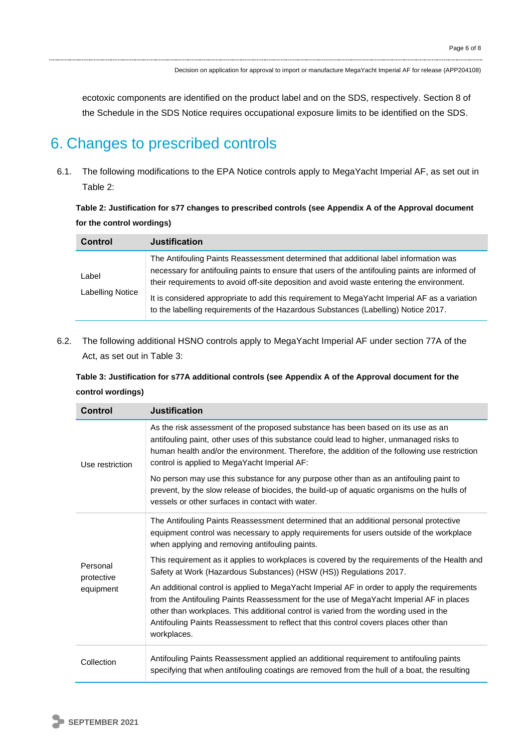ecotoxic components are identified on the product label and on the SDS, respectively. Section 8 of the Schedule in the SDS Notice requires occupational exposure limits to be identified on the SDS.

### 6. Changes to prescribed controls

6.1. The following modifications to the EPA Notice controls apply to MegaYacht Imperial AF, as set out in Table 2:

**Table 2: Justification for s77 changes to prescribed controls (see Appendix A of the Approval document for the control wordings)**

| <b>Control</b>            | <b>Justification</b>                                                                                                                                                                                                                                                                                                                                                                                                                                                       |
|---------------------------|----------------------------------------------------------------------------------------------------------------------------------------------------------------------------------------------------------------------------------------------------------------------------------------------------------------------------------------------------------------------------------------------------------------------------------------------------------------------------|
| Label<br>Labelling Notice | The Antifouling Paints Reassessment determined that additional label information was<br>necessary for antifouling paints to ensure that users of the antifouling paints are informed of<br>their requirements to avoid off-site deposition and avoid waste entering the environment.<br>It is considered appropriate to add this requirement to MegaYacht Imperial AF as a variation<br>to the labelling requirements of the Hazardous Substances (Labelling) Notice 2017. |

6.2. The following additional HSNO controls apply to MegaYacht Imperial AF under section 77A of the Act, as set out in Table 3:

| Table 3: Justification for s77A additional controls (see Appendix A of the Approval document for the |  |
|------------------------------------------------------------------------------------------------------|--|
| control wordings)                                                                                    |  |

| Control                             | <b>Justification</b>                                                                                                                                                                                                                                                                                                                                                                     |
|-------------------------------------|------------------------------------------------------------------------------------------------------------------------------------------------------------------------------------------------------------------------------------------------------------------------------------------------------------------------------------------------------------------------------------------|
| Use restriction                     | As the risk assessment of the proposed substance has been based on its use as an<br>antifouling paint, other uses of this substance could lead to higher, unmanaged risks to<br>human health and/or the environment. Therefore, the addition of the following use restriction<br>control is applied to MegaYacht Imperial AF:                                                            |
|                                     | No person may use this substance for any purpose other than as an antifouling paint to<br>prevent, by the slow release of biocides, the build-up of aquatic organisms on the hulls of<br>vessels or other surfaces in contact with water.                                                                                                                                                |
| Personal<br>protective<br>equipment | The Antifouling Paints Reassessment determined that an additional personal protective<br>equipment control was necessary to apply requirements for users outside of the workplace<br>when applying and removing antifouling paints.                                                                                                                                                      |
|                                     | This requirement as it applies to workplaces is covered by the requirements of the Health and<br>Safety at Work (Hazardous Substances) (HSW (HS)) Regulations 2017.                                                                                                                                                                                                                      |
|                                     | An additional control is applied to MegaYacht Imperial AF in order to apply the requirements<br>from the Antifouling Paints Reassessment for the use of MegaYacht Imperial AF in places<br>other than workplaces. This additional control is varied from the wording used in the<br>Antifouling Paints Reassessment to reflect that this control covers places other than<br>workplaces. |
| Collection                          | Antifouling Paints Reassessment applied an additional requirement to antifouling paints<br>specifying that when antifouling coatings are removed from the hull of a boat, the resulting                                                                                                                                                                                                  |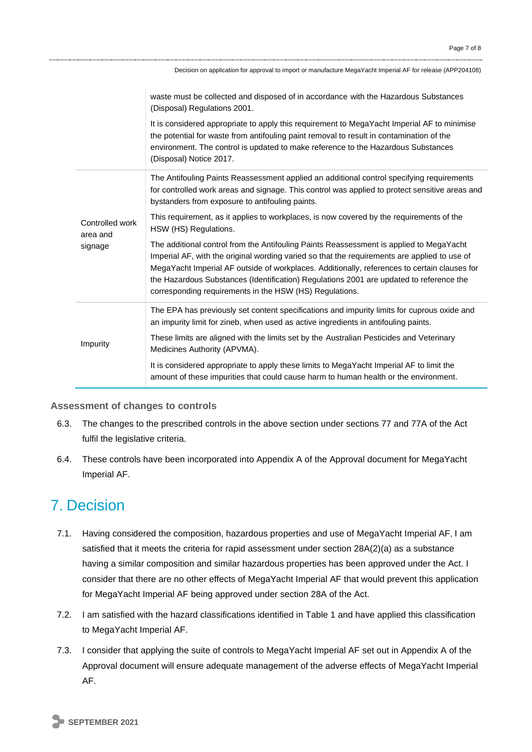|                                        | Decision on application for approval to import or manufacture MegaYacht Imperial AF for release (APP204108)                                                                                                                                                                                                                                                                                                                                   |
|----------------------------------------|-----------------------------------------------------------------------------------------------------------------------------------------------------------------------------------------------------------------------------------------------------------------------------------------------------------------------------------------------------------------------------------------------------------------------------------------------|
|                                        | waste must be collected and disposed of in accordance with the Hazardous Substances<br>(Disposal) Regulations 2001.<br>It is considered appropriate to apply this requirement to MegaYacht Imperial AF to minimise<br>the potential for waste from antifouling paint removal to result in contamination of the<br>environment. The control is updated to make reference to the Hazardous Substances<br>(Disposal) Notice 2017.                |
| Controlled work<br>area and<br>signage | The Antifouling Paints Reassessment applied an additional control specifying requirements<br>for controlled work areas and signage. This control was applied to protect sensitive areas and<br>bystanders from exposure to antifouling paints.                                                                                                                                                                                                |
|                                        | This requirement, as it applies to workplaces, is now covered by the requirements of the<br>HSW (HS) Regulations.                                                                                                                                                                                                                                                                                                                             |
|                                        | The additional control from the Antifouling Paints Reassessment is applied to MegaYacht<br>Imperial AF, with the original wording varied so that the requirements are applied to use of<br>MegaYacht Imperial AF outside of workplaces. Additionally, references to certain clauses for<br>the Hazardous Substances (Identification) Regulations 2001 are updated to reference the<br>corresponding requirements in the HSW (HS) Regulations. |
| Impurity                               | The EPA has previously set content specifications and impurity limits for cuprous oxide and<br>an impurity limit for zineb, when used as active ingredients in antifouling paints.                                                                                                                                                                                                                                                            |
|                                        | These limits are aligned with the limits set by the Australian Pesticides and Veterinary<br>Medicines Authority (APVMA).                                                                                                                                                                                                                                                                                                                      |
|                                        | It is considered appropriate to apply these limits to MegaYacht Imperial AF to limit the<br>amount of these impurities that could cause harm to human health or the environment.                                                                                                                                                                                                                                                              |

### **Assessment of changes to controls**

- 6.3. The changes to the prescribed controls in the above section under sections 77 and 77A of the Act fulfil the legislative criteria.
- 6.4. These controls have been incorporated into Appendix A of the Approval document for MegaYacht Imperial AF.

### 7. Decision

- 7.1. Having considered the composition, hazardous properties and use of MegaYacht Imperial AF, I am satisfied that it meets the criteria for rapid assessment under section 28A(2)(a) as a substance having a similar composition and similar hazardous properties has been approved under the Act. I consider that there are no other effects of MegaYacht Imperial AF that would prevent this application for MegaYacht Imperial AF being approved under section 28A of the Act.
- 7.2. I am satisfied with the hazard classifications identified in Table 1 and have applied this classification to MegaYacht Imperial AF.
- 7.3. I consider that applying the suite of controls to MegaYacht Imperial AF set out in Appendix A of the Approval document will ensure adequate management of the adverse effects of MegaYacht Imperial AF.